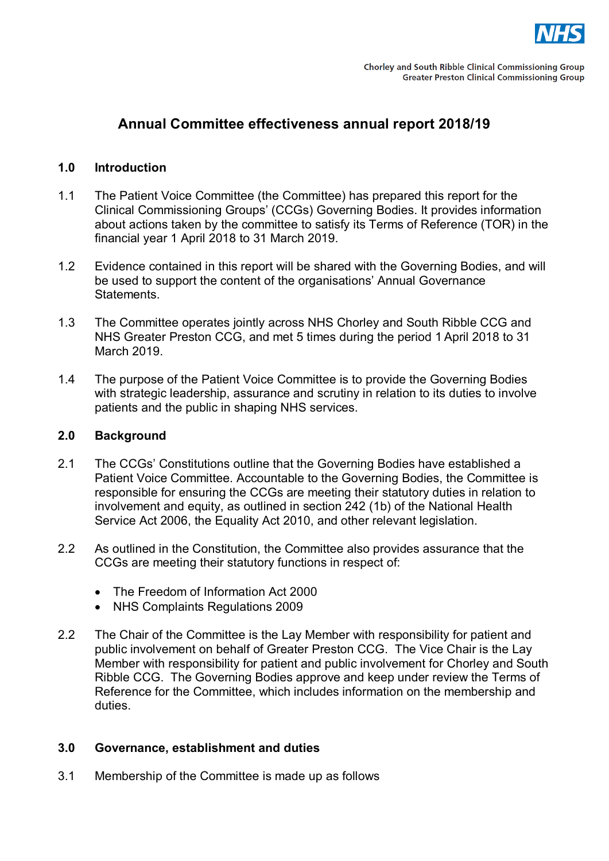

## **Annual Committee effectiveness annual report 2018/19**

#### **1.0 Introduction**

- 1.1 The Patient Voice Committee (the Committee) has prepared this report for the Clinical Commissioning Groups' (CCGs) Governing Bodies. It provides information about actions taken by the committee to satisfy its Terms of Reference (TOR) in the financial year 1 April 2018 to 31 March 2019.
- 1.2 Evidence contained in this report will be shared with the Governing Bodies, and will be used to support the content of the organisations' Annual Governance Statements.
- 1.3 The Committee operates jointly across NHS Chorley and South Ribble CCG and NHS Greater Preston CCG, and met 5 times during the period 1 April 2018 to 31 March 2019.
- 1.4 The purpose of the Patient Voice Committee is to provide the Governing Bodies with strategic leadership, assurance and scrutiny in relation to its duties to involve patients and the public in shaping NHS services.

#### **2.0 Background**

- 2.1 The CCGs' Constitutions outline that the Governing Bodies have established a Patient Voice Committee. Accountable to the Governing Bodies, the Committee is responsible for ensuring the CCGs are meeting their statutory duties in relation to involvement and equity, as outlined in section 242 (1b) of the National Health Service Act 2006, the Equality Act 2010, and other relevant legislation.
- 2.2 As outlined in the Constitution, the Committee also provides assurance that the CCGs are meeting their statutory functions in respect of:
	- The Freedom of Information Act 2000
	- NHS Complaints Regulations 2009
- 2.2 The Chair of the Committee is the Lay Member with responsibility for patient and public involvement on behalf of Greater Preston CCG. The Vice Chair is the Lay Member with responsibility for patient and public involvement for Chorley and South Ribble CCG. The Governing Bodies approve and keep under review the Terms of Reference for the Committee, which includes information on the membership and duties.

#### **3.0 Governance, establishment and duties**

3.1 Membership of the Committee is made up as follows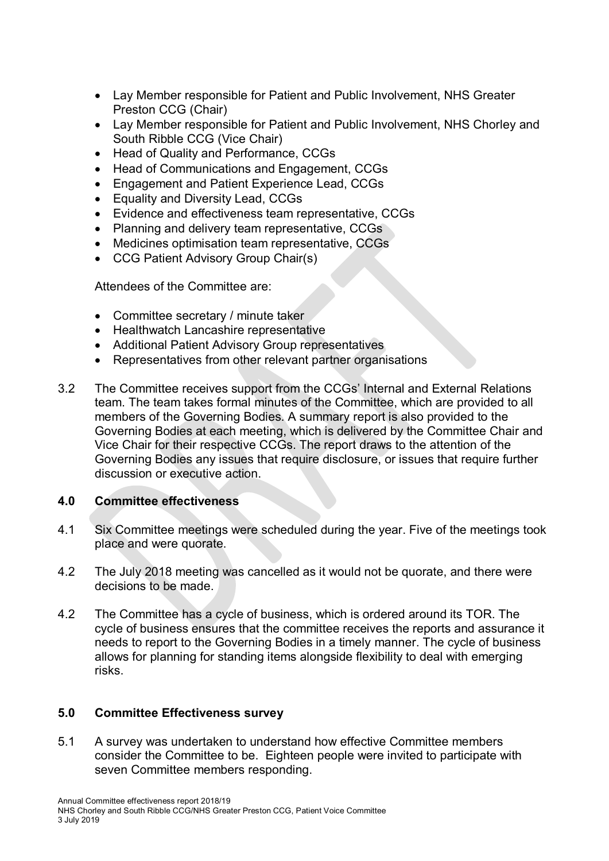- Lay Member responsible for Patient and Public Involvement, NHS Greater Preston CCG (Chair)
- Lay Member responsible for Patient and Public Involvement, NHS Chorley and South Ribble CCG (Vice Chair)
- Head of Quality and Performance, CCGs
- Head of Communications and Engagement, CCGs
- Engagement and Patient Experience Lead, CCGs
- Equality and Diversity Lead, CCGs
- Evidence and effectiveness team representative, CCGs
- Planning and delivery team representative, CCGs
- Medicines optimisation team representative, CCGs
- CCG Patient Advisory Group Chair(s)

Attendees of the Committee are:

- Committee secretary / minute taker
- Healthwatch Lancashire representative
- Additional Patient Advisory Group representatives
- Representatives from other relevant partner organisations
- 3.2 The Committee receives support from the CCGs' Internal and External Relations team. The team takes formal minutes of the Committee, which are provided to all members of the Governing Bodies. A summary report is also provided to the Governing Bodies at each meeting, which is delivered by the Committee Chair and Vice Chair for their respective CCGs. The report draws to the attention of the Governing Bodies any issues that require disclosure, or issues that require further discussion or executive action.

## **4.0 Committee effectiveness**

- 4.1 Six Committee meetings were scheduled during the year. Five of the meetings took place and were quorate.
- 4.2 The July 2018 meeting was cancelled as it would not be quorate, and there were decisions to be made.
- 4.2 The Committee has a cycle of business, which is ordered around its TOR. The cycle of business ensures that the committee receives the reports and assurance it needs to report to the Governing Bodies in a timely manner. The cycle of business allows for planning for standing items alongside flexibility to deal with emerging risks.

## **5.0 Committee Effectiveness survey**

5.1 A survey was undertaken to understand how effective Committee members consider the Committee to be. Eighteen people were invited to participate with seven Committee members responding.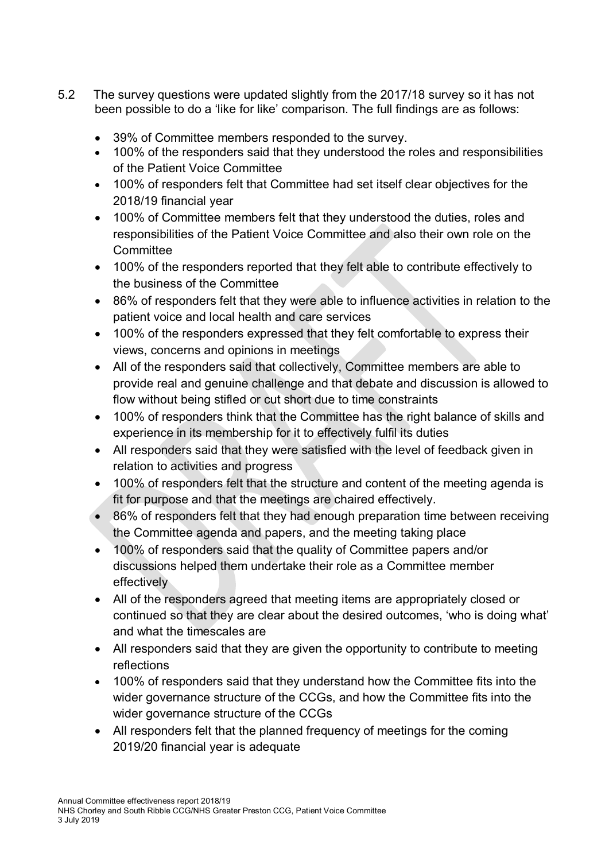- 5.2 The survey questions were updated slightly from the 2017/18 survey so it has not been possible to do a 'like for like' comparison. The full findings are as follows:
	- 39% of Committee members responded to the survey.
	- 100% of the responders said that they understood the roles and responsibilities of the Patient Voice Committee
	- 100% of responders felt that Committee had set itself clear objectives for the 2018/19 financial year
	- 100% of Committee members felt that they understood the duties, roles and responsibilities of the Patient Voice Committee and also their own role on the **Committee**
	- 100% of the responders reported that they felt able to contribute effectively to the business of the Committee
	- 86% of responders felt that they were able to influence activities in relation to the patient voice and local health and care services
	- 100% of the responders expressed that they felt comfortable to express their views, concerns and opinions in meetings
	- All of the responders said that collectively, Committee members are able to provide real and genuine challenge and that debate and discussion is allowed to flow without being stifled or cut short due to time constraints
	- 100% of responders think that the Committee has the right balance of skills and experience in its membership for it to effectively fulfil its duties
	- All responders said that they were satisfied with the level of feedback given in relation to activities and progress
	- 100% of responders felt that the structure and content of the meeting agenda is fit for purpose and that the meetings are chaired effectively.
	- 86% of responders felt that they had enough preparation time between receiving the Committee agenda and papers, and the meeting taking place
	- 100% of responders said that the quality of Committee papers and/or discussions helped them undertake their role as a Committee member effectively
	- All of the responders agreed that meeting items are appropriately closed or continued so that they are clear about the desired outcomes, 'who is doing what' and what the timescales are
	- All responders said that they are given the opportunity to contribute to meeting reflections
	- 100% of responders said that they understand how the Committee fits into the wider governance structure of the CCGs, and how the Committee fits into the wider governance structure of the CCGs
	- All responders felt that the planned frequency of meetings for the coming 2019/20 financial year is adequate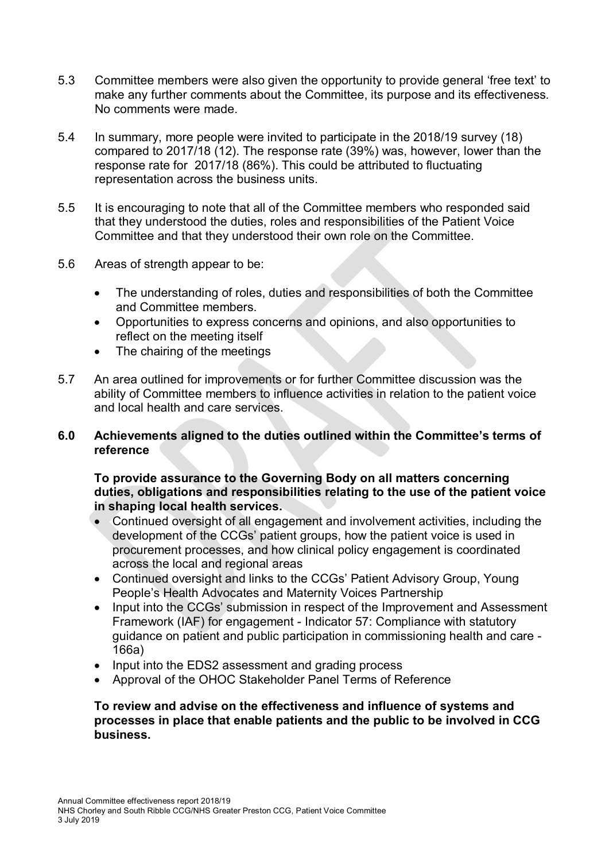- 5.3 Committee members were also given the opportunity to provide general 'free text' to make any further comments about the Committee, its purpose and its effectiveness. No comments were made.
- 5.4 In summary, more people were invited to participate in the 2018/19 survey (18) compared to 2017/18 (12). The response rate (39%) was, however, lower than the response rate for 2017/18 (86%). This could be attributed to fluctuating representation across the business units.
- 5.5 It is encouraging to note that all of the Committee members who responded said that they understood the duties, roles and responsibilities of the Patient Voice Committee and that they understood their own role on the Committee.
- 5.6 Areas of strength appear to be:
	- The understanding of roles, duties and responsibilities of both the Committee and Committee members.
	- Opportunities to express concerns and opinions, and also opportunities to reflect on the meeting itself
	- The chairing of the meetings
- 5.7 An area outlined for improvements or for further Committee discussion was the ability of Committee members to influence activities in relation to the patient voice and local health and care services.

## **6.0 Achievements aligned to the duties outlined within the Committee's terms of reference**

#### **To provide assurance to the Governing Body on all matters concerning duties, obligations and responsibilities relating to the use of the patient voice in shaping local health services.**

- Continued oversight of all engagement and involvement activities, including the development of the CCGs' patient groups, how the patient voice is used in procurement processes, and how clinical policy engagement is coordinated across the local and regional areas
- Continued oversight and links to the CCGs' Patient Advisory Group, Young People's Health Advocates and Maternity Voices Partnership
- Input into the CCGs' submission in respect of the Improvement and Assessment Framework (IAF) for engagement - Indicator 57: Compliance with statutory guidance on patient and public participation in commissioning health and care - 166a)
- Input into the EDS2 assessment and grading process
- Approval of the OHOC Stakeholder Panel Terms of Reference

## **To review and advise on the effectiveness and influence of systems and processes in place that enable patients and the public to be involved in CCG business.**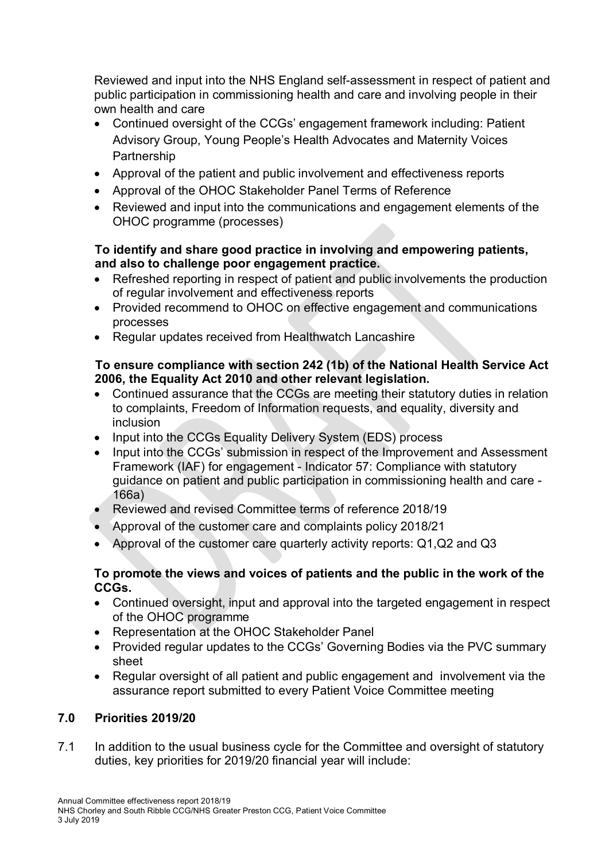Reviewed and input into the NHS England self-assessment in respect of patient and public participation in commissioning health and care and involving people in their own health and care

- Continued oversight of the CCGs' engagement framework including: Patient Advisory Group, Young People's Health Advocates and Maternity Voices **Partnership**
- Approval of the patient and public involvement and effectiveness reports
- Approval of the OHOC Stakeholder Panel Terms of Reference
- Reviewed and input into the communications and engagement elements of the OHOC programme (processes)

## **To identify and share good practice in involving and empowering patients, and also to challenge poor engagement practice.**

- Refreshed reporting in respect of patient and public involvements the production of regular involvement and effectiveness reports
- Provided recommend to OHOC on effective engagement and communications processes
- Regular updates received from Healthwatch Lancashire

## **To ensure compliance with section 242 (1b) of the National Health Service Act 2006, the Equality Act 2010 and other relevant legislation.**

- Continued assurance that the CCGs are meeting their statutory duties in relation to complaints, Freedom of Information requests, and equality, diversity and inclusion
- Input into the CCGs Equality Delivery System (EDS) process
- Input into the CCGs' submission in respect of the Improvement and Assessment Framework (IAF) for engagement - Indicator 57: Compliance with statutory guidance on patient and public participation in commissioning health and care - 166a)
- Reviewed and revised Committee terms of reference 2018/19
- Approval of the customer care and complaints policy 2018/21
- Approval of the customer care quarterly activity reports: Q1,Q2 and Q3

## **To promote the views and voices of patients and the public in the work of the CCGs.**

- Continued oversight, input and approval into the targeted engagement in respect of the OHOC programme
- Representation at the OHOC Stakeholder Panel
- Provided regular updates to the CCGs' Governing Bodies via the PVC summary sheet
- Regular oversight of all patient and public engagement and involvement via the assurance report submitted to every Patient Voice Committee meeting

## **7.0 Priorities 2019/20**

7.1 In addition to the usual business cycle for the Committee and oversight of statutory duties, key priorities for 2019/20 financial year will include: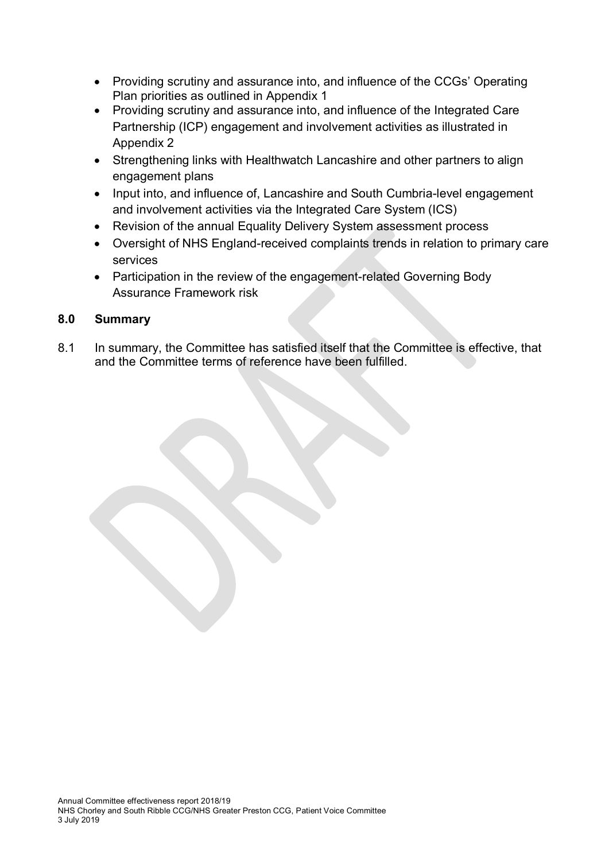- Providing scrutiny and assurance into, and influence of the CCGs' Operating Plan priorities as outlined in Appendix 1
- Providing scrutiny and assurance into, and influence of the Integrated Care Partnership (ICP) engagement and involvement activities as illustrated in Appendix 2
- Strengthening links with Healthwatch Lancashire and other partners to align engagement plans
- Input into, and influence of, Lancashire and South Cumbria-level engagement and involvement activities via the Integrated Care System (ICS)
- Revision of the annual Equality Delivery System assessment process
- Oversight of NHS England-received complaints trends in relation to primary care services
- Participation in the review of the engagement-related Governing Body Assurance Framework risk

## **8.0 Summary**

8.1 In summary, the Committee has satisfied itself that the Committee is effective, that and the Committee terms of reference have been fulfilled.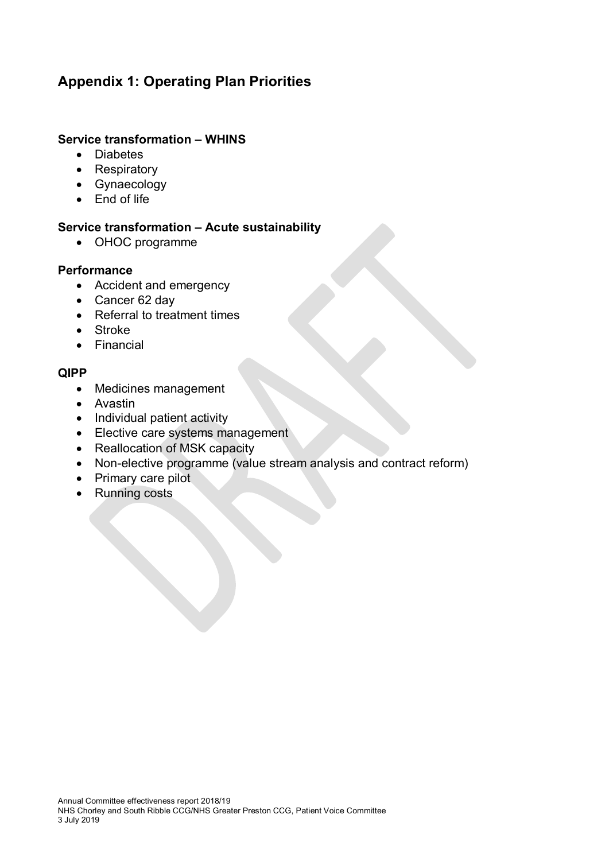# **Appendix 1: Operating Plan Priorities**

## **Service transformation – WHINS**

- Diabetes
- Respiratory
- Gynaecology
- End of life

## **Service transformation – Acute sustainability**

• OHOC programme

#### **Performance**

- Accident and emergency
- Cancer 62 day
- Referral to treatment times
- Stroke
- Financial

## **QIPP**

- Medicines management
- Avastin
- Individual patient activity
- Elective care systems management
- Reallocation of MSK capacity
- Non-elective programme (value stream analysis and contract reform)
- Primary care pilot
- Running costs